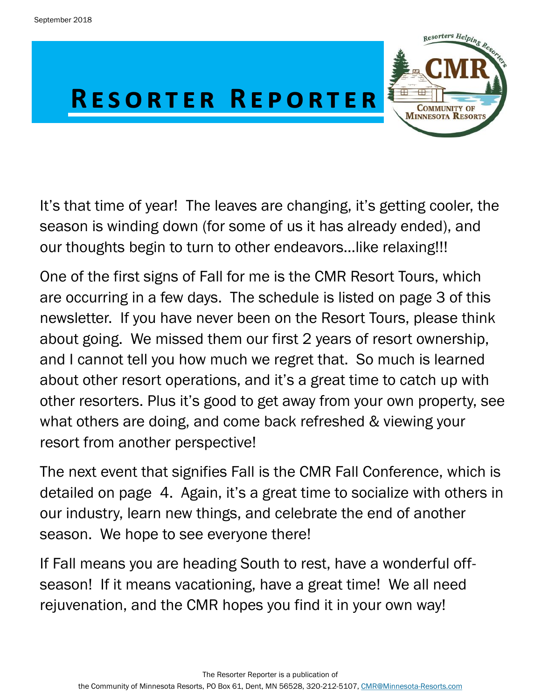

It's that time of year! The leaves are changing, it's getting cooler, the season is winding down (for some of us it has already ended), and our thoughts begin to turn to other endeavors...like relaxing!!!

One of the first signs of Fall for me is the CMR Resort Tours, which are occurring in a few days. The schedule is listed on page 3 of this newsletter. If you have never been on the Resort Tours, please think about going. We missed them our first 2 years of resort ownership, and I cannot tell you how much we regret that. So much is learned about other resort operations, and it's a great time to catch up with other resorters. Plus it's good to get away from your own property, see what others are doing, and come back refreshed & viewing your resort from another perspective!

The next event that signifies Fall is the CMR Fall Conference, which is detailed on page 4. Again, it's a great time to socialize with others in our industry, learn new things, and celebrate the end of another season. We hope to see everyone there!

If Fall means you are heading South to rest, have a wonderful offseason! If it means vacationing, have a great time! We all need rejuvenation, and the CMR hopes you find it in your own way!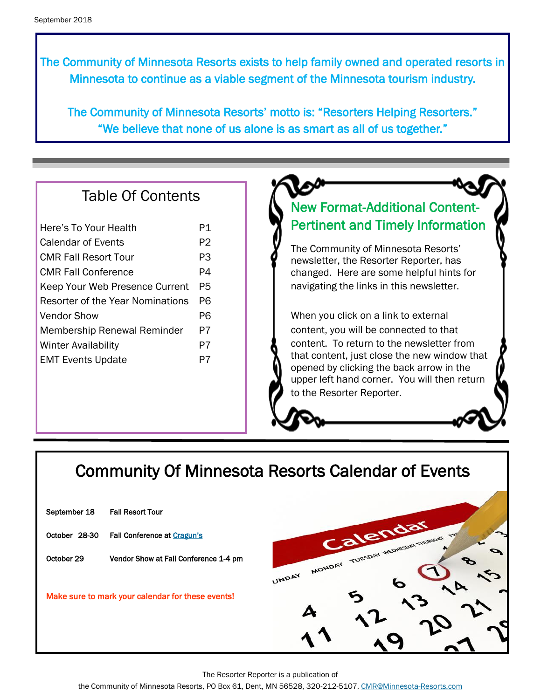The Community of Minnesota Resorts exists to help family owned and operated resorts in Minnesota to continue as a viable segment of the Minnesota tourism industry.

The Community of Minnesota Resorts' motto is: "Resorters Helping Resorters." "We believe that none of us alone is as smart as all of us together."

#### Table Of Contents

| Here's To Your Health              | P1 |
|------------------------------------|----|
| Calendar of Events                 | P2 |
| <b>CMR Fall Resort Tour</b>        | PЗ |
| CMR Fall Conference                | P4 |
| Keep Your Web Presence Current     | P5 |
| Resorter of the Year Nominations   |    |
| Vendor Show                        |    |
| <b>Membership Renewal Reminder</b> |    |
| <b>Winter Availability</b>         | P7 |
| <b>EMT Events Update</b>           | P7 |
|                                    |    |

#### New Format-Additional Content-Pertinent and Timely Information

The Community of Minnesota Resorts' newsletter, the Resorter Reporter, has changed. Here are some helpful hints for navigating the links in this newsletter.

When you click on a link to external content, you will be connected to that content. To return to the newsletter from that content, just close the new window that opened by clicking the back arrow in the upper left hand corner. You will then return to the Resorter Reporter.

### Community Of Minnesota Resorts Calendar of Events

| September 18                                      | <b>Fall Resort Tour</b>               |  |
|---------------------------------------------------|---------------------------------------|--|
| October 28-30                                     | <b>Fall Conference at Cragun's</b>    |  |
| October 29                                        | Vendor Show at Fall Conference 1-4 pm |  |
| Make sure to mark your calendar for these events! |                                       |  |
|                                                   |                                       |  |



The Resorter Reporter is a publication of

the Community of Minnesota Resorts, PO Box 61, Dent, MN 56528, 320-212-5107, [CMR@Minnesota-Resorts.com](mailto:CMR@Minnesota-Resorts.com?subject=Community%20of%20Minnesota%20Resorts)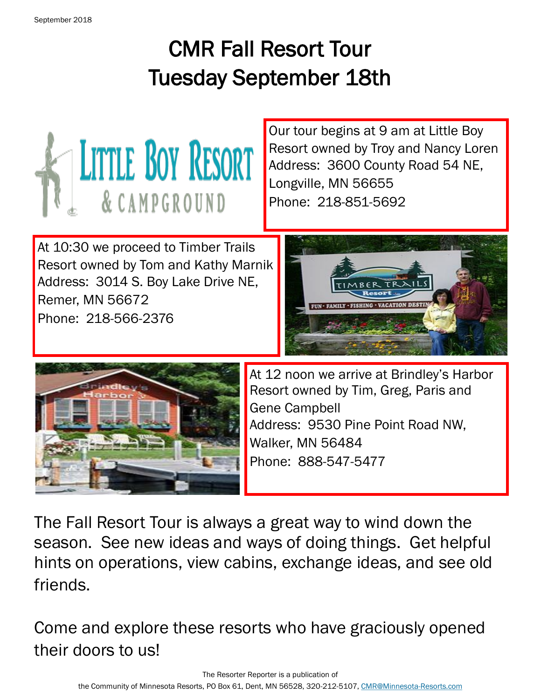# CMR Fall Resort Tour Tuesday September 18th



Our tour begins at 9 am at Little Boy Resort owned by Troy and Nancy Loren Address: 3600 County Road 54 NE, Longville, MN 56655 Phone: 218-851-5692

At 10:30 we proceed to Timber Trails Resort owned by Tom and Kathy Marnik Address: 3014 S. Boy Lake Drive NE, Remer, MN 56672 Phone: 218-566-2376





At 12 noon we arrive at Brindley's Harbor Resort owned by Tim, Greg, Paris and Gene Campbell Address: 9530 Pine Point Road NW, Walker, MN 56484 Phone: 888-547-5477

The Fall Resort Tour is always a great way to wind down the season. See new ideas and ways of doing things. Get helpful hints on operations, view cabins, exchange ideas, and see old friends.

Come and explore these resorts who have graciously opened their doors to us!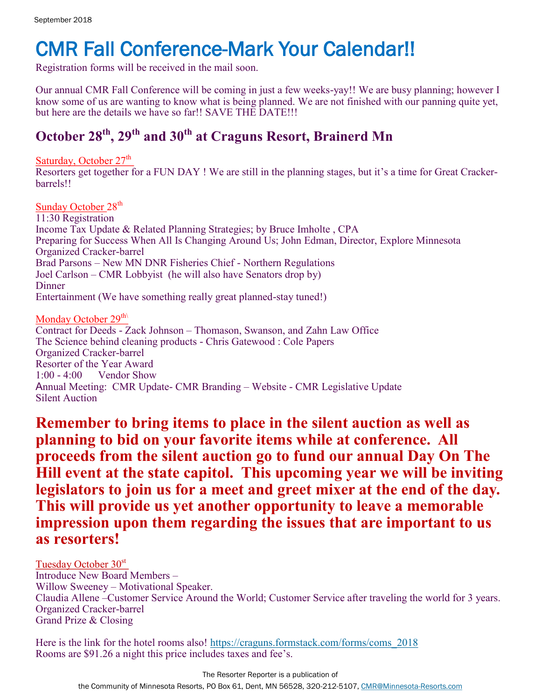# CMR Fall Conference-Mark Your Calendar!!

Registration forms will be received in the mail soon.

Our annual CMR Fall Conference will be coming in just a few weeks-yay!! We are busy planning; however I know some of us are wanting to know what is being planned. We are not finished with our panning quite yet, but here are the details we have so far!! SAVE THE DATE!!!

#### **October 28th, 29th and 30th at Craguns Resort, Brainerd Mn**

Saturday, October  $27<sup>th</sup>$ 

l, Resorters get together for a FUN DAY ! We are still in the planning stages, but it's a time for Great Crackerbarrels!!

Sunday October 28<sup>th</sup> 11:30 Registration Income Tax Update & Related Planning Strategies; by Bruce Imholte , CPA Preparing for Success When All Is Changing Around Us; John Edman, Director, Explore Minnesota Organized Cracker-barrel Brad Parsons – New MN DNR Fisheries Chief - Northern Regulations Joel Carlson – CMR Lobbyist (he will also have Senators drop by) **Dinner** Entertainment (We have something really great planned-stay tuned!) Monday October 29<sup>th\</sup> Contract for Deeds - Zack Johnson – Thomason, Swanson, and Zahn Law Office

The Science behind cleaning products - Chris Gatewood : Cole Papers Organized Cracker-barrel Resorter of the Year Award 1:00 - 4:00 Vendor Show Annual Meeting: CMR Update- CMR Branding – Website - CMR Legislative Update Silent Auction

**Remember to bring items to place in the silent auction as well as planning to bid on your favorite items while at conference. All proceeds from the silent auction go to fund our annual Day On The Hill event at the state capitol. This upcoming year we will be inviting legislators to join us for a meet and greet mixer at the end of the day. This will provide us yet another opportunity to leave a memorable impression upon them regarding the issues that are important to us as resorters!**

Tuesday October 30<sup>st</sup> Introduce New Board Members – Willow Sweeney – Motivational Speaker. Claudia Allene –Customer Service Around the World; Customer Service after traveling the world for 3 years. Organized Cracker-barrel Grand Prize & Closing

Here is the link for the hotel rooms also! [https://craguns.formstack.com/forms/coms\\_2018](https://craguns.formstack.com/forms/coms_2018)  Rooms are \$91.26 a night this price includes taxes and fee's.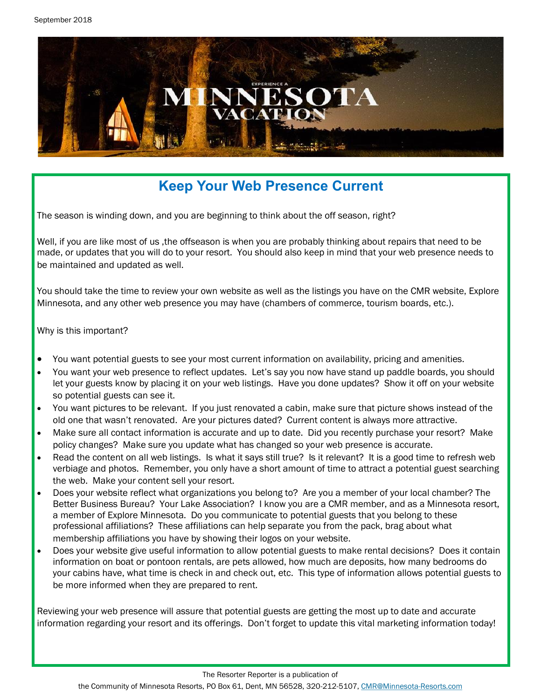

### **Keep Your Web Presence Current**

The season is winding down, and you are beginning to think about the off season, right?

Well, if you are like most of us ,the offseason is when you are probably thinking about repairs that need to be made, or updates that you will do to your resort. You should also keep in mind that your web presence needs to be maintained and updated as well.

You should take the time to review your own website as well as the listings you have on the CMR website, Explore Minnesota, and any other web presence you may have (chambers of commerce, tourism boards, etc.).

Why is this important?

- You want potential guests to see your most current information on availability, pricing and amenities.
- You want your web presence to reflect updates. Let's say you now have stand up paddle boards, you should let your guests know by placing it on your web listings. Have you done updates? Show it off on your website so potential guests can see it.
- You want pictures to be relevant. If you just renovated a cabin, make sure that picture shows instead of the old one that wasn't renovated. Are your pictures dated? Current content is always more attractive.
- Make sure all contact information is accurate and up to date. Did you recently purchase your resort? Make policy changes? Make sure you update what has changed so your web presence is accurate.
- Read the content on all web listings. Is what it says still true? Is it relevant? It is a good time to refresh web verbiage and photos. Remember, you only have a short amount of time to attract a potential guest searching the web. Make your content sell your resort.
- Does your website reflect what organizations you belong to? Are you a member of your local chamber? The Better Business Bureau? Your Lake Association? I know you are a CMR member, and as a Minnesota resort, a member of Explore Minnesota. Do you communicate to potential guests that you belong to these professional affiliations? These affiliations can help separate you from the pack, brag about what membership affiliations you have by showing their logos on your website.
- Does your website give useful information to allow potential guests to make rental decisions? Does it contain information on boat or pontoon rentals, are pets allowed, how much are deposits, how many bedrooms do your cabins have, what time is check in and check out, etc. This type of information allows potential guests to be more informed when they are prepared to rent.

Reviewing your web presence will assure that potential guests are getting the most up to date and accurate information regarding your resort and its offerings. Don't forget to update this vital marketing information today!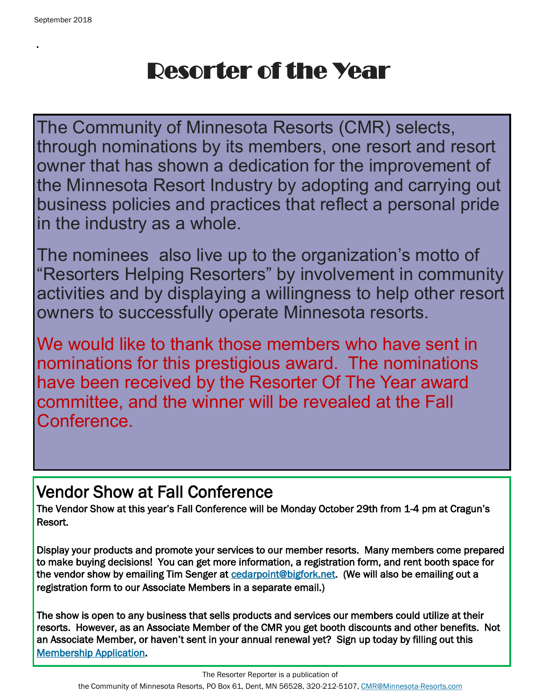.

# Resorter of the Year

The Community of Minnesota Resorts (CMR) selects, through nominations by its members, one resort and resort owner that has shown a dedication for the improvement of the Minnesota Resort Industry by adopting and carrying out business policies and practices that reflect a personal pride in the industry as a whole.

The nominees also live up to the organization's motto of "Resorters Helping Resorters" by involvement in community activities and by displaying a willingness to help other resort owners to successfully operate Minnesota resorts.

We would like to thank those members who have sent in nominations for this prestigious award. The nominations have been received by the Resorter Of The Year award committee, and the winner will be revealed at the Fall Conference.

# Vendor Show at Fall Conference

The Vendor Show at this year's Fall Conference will be Monday October 29th from 1-4 pm at Cragun's Resort.

Display your products and promote your services to our member resorts. Many members come prepared to make buying decisions! You can get more information, a registration form, and rent booth space for the vendor show by emailing Tim Senger at [cedarpoint@bigfork.net.](mailto:cedarpoint@bigfork.net?subject=Vendor%20Show%20Regisration) (We will also be emailing out a registration form to our Associate Members in a separate email.)

The show is open to any business that sells products and services our members could utilize at their resorts. However, as an Associate Member of the CMR you get booth discounts and other benefits. Not an Associate Member, or haven't sent in your annual renewal yet? Sign up today by filling out this [Membership Application.](http://minnesota-resorts.com/wp-lib/wp-content/uploads/2018/04/Associate-Membership-Application-Community.pdf)